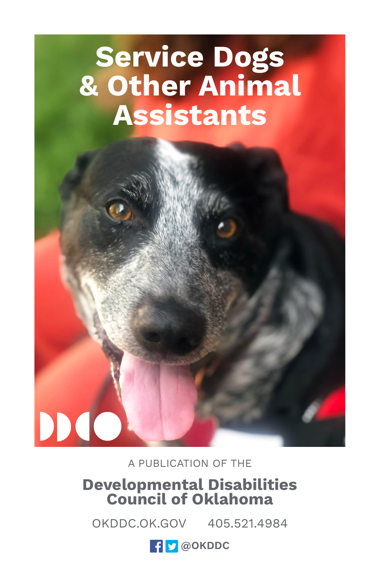## **Service Dogs & Other Animal Assistants**

A PUBLICATION OF THE

DIC

# **Developmental Disabilities Council of Oklahoma**

OKDDC.OK.GOV 405.521.4984

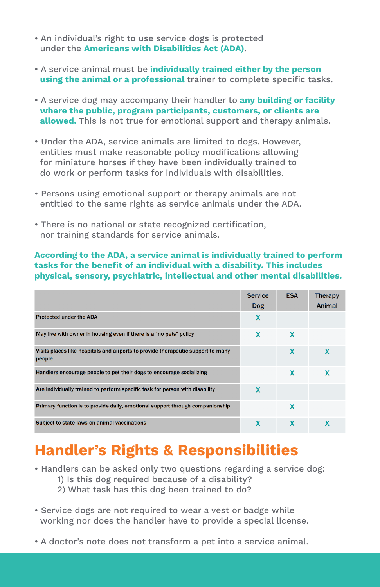- An individual's right to use service dogs is protected under the **Americans with Disabilities Act (ADA)**.
- A service animal must be **individually trained either by the person using the animal or a professional** trainer to complete specific tasks.
- A service dog may accompany their handler to **any building or facility where the public, program participants, customers, or clients are allowed.** This is not true for emotional support and therapy animals.
- Under the ADA, service animals are limited to dogs. However, entities must make reasonable policy modifications allowing for miniature horses if they have been individually trained to do work or perform tasks for individuals with disabilities.
- Persons using emotional support or therapy animals are not entitled to the same rights as service animals under the ADA.
- There is no national or state recognized certification, nor training standards for service animals.

#### **According to the ADA, a service animal is individually trained to perform tasks for the benefit of an individual with a disability. This includes physical, sensory, psychiatric, intellectual and other mental disabilities.**

|                                                                                            | <b>Service</b><br>Dog | <b>ESA</b> | <b>Therapy</b><br>Animal |
|--------------------------------------------------------------------------------------------|-----------------------|------------|--------------------------|
| <b>Protected under the ADA</b>                                                             | X                     |            |                          |
| May live with owner in housing even if there is a "no pets" policy                         | X                     | X          |                          |
| Visits places like hospitals and airports to provide therapeutic support to many<br>people |                       | X          | X                        |
| Handlers encourage people to pet their dogs to encourage socializing                       |                       | x          | X                        |
| Are individually trained to perform specific task for person with disability               | x                     |            |                          |
| Primary function is to provide daily, emotional support through companionship              |                       | x          |                          |
| Subject to state laws on animal vaccinations                                               | X                     | X          | x                        |

#### **Handler's Rights & Responsibilities**

- Handlers can be asked only two questions regarding a service dog:
	- 1) Is this dog required because of a disability?
	- 2) What task has this dog been trained to do?
- Service dogs are not required to wear a vest or badge while working nor does the handler have to provide a special license.
- A doctor's note does not transform a pet into a service animal.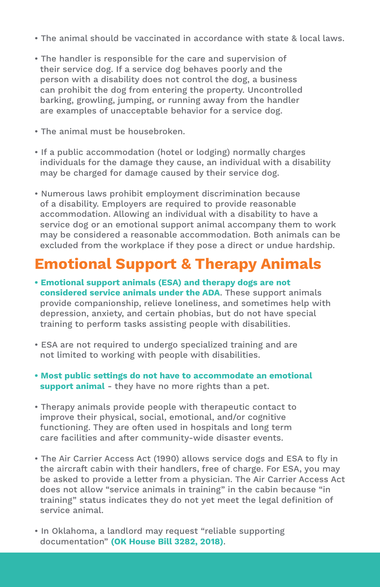- The animal should be vaccinated in accordance with state & local laws.
- The handler is responsible for the care and supervision of their service dog. If a service dog behaves poorly and the person with a disability does not control the dog, a business can prohibit the dog from entering the property. Uncontrolled barking, growling, jumping, or running away from the handler are examples of unacceptable behavior for a service dog.
- The animal must be housebroken.
- If a public accommodation (hotel or lodging) normally charges individuals for the damage they cause, an individual with a disability may be charged for damage caused by their service dog.
- Numerous laws prohibit employment discrimination because of a disability. Employers are required to provide reasonable accommodation. Allowing an individual with a disability to have a service dog or an emotional support animal accompany them to work may be considered a reasonable accommodation. Both animals can be excluded from the workplace if they pose a direct or undue hardship.

#### **Emotional Support & Therapy Animals**

- **Emotional support animals (ESA) and therapy dogs are not considered service animals under the ADA**. These support animals provide companionship, relieve loneliness, and sometimes help with depression, anxiety, and certain phobias, but do not have special training to perform tasks assisting people with disabilities.
- ESA are not required to undergo specialized training and are not limited to working with people with disabilities.
- **Most public settings do not have to accommodate an emotional support animal** - they have no more rights than a pet.
- Therapy animals provide people with therapeutic contact to improve their physical, social, emotional, and/or cognitive functioning. They are often used in hospitals and long term care facilities and after community-wide disaster events.
- The Air Carrier Access Act (1990) allows service dogs and ESA to fly in the aircraft cabin with their handlers, free of charge. For ESA, you may be asked to provide a letter from a physician. The Air Carrier Access Act does not allow "service animals in training" in the cabin because "in training" status indicates they do not yet meet the legal definition of service animal.
- In Oklahoma, a landlord may request "reliable supporting documentation" **(OK House Bill 3282, 2018)**.